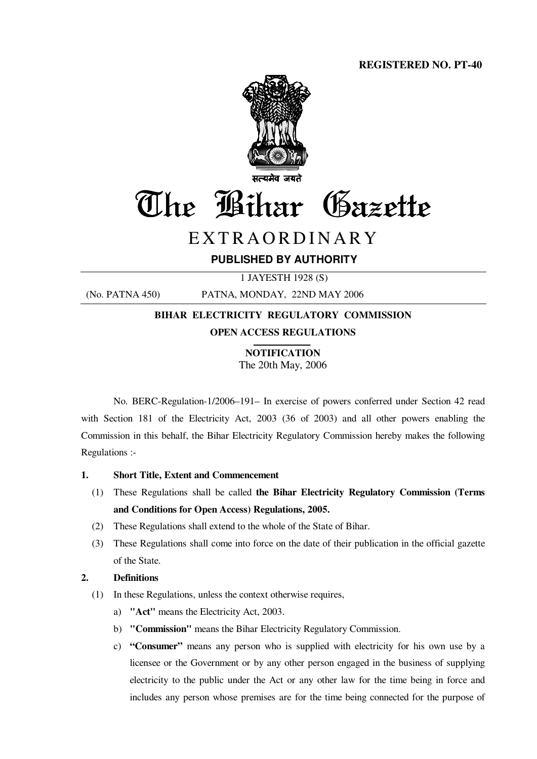

# The Bihar Gazette

## E X T R A O R D I N A R Y

### **PUBLISHED BY AUTHORITY**

1 JAYESTH 1928 (S)

(No. PATNA 450) PATNA, MONDAY, 22ND MAY 2006

## **BIHAR ELECTRICITY REGULATORY COMMISSION OPEN ACCESS REGULATIONS**

**NOTIFICATION** The 20th May, 2006

No. BERC-Regulation-1/2006–191– In exercise of powers conferred under Section 42 read with Section 181 of the Electricity Act, 2003 (36 of 2003) and all other powers enabling the Commission in this behalf, the Bihar Electricity Regulatory Commission hereby makes the following Regulations :-

#### **1. Short Title, Extent and Commencement**

- (1) These Regulations shall be called **the Bihar Electricity Regulatory Commission (Terms and Conditions for Open Access) Regulations, 2005.**
- (2) These Regulations shall extend to the whole of the State of Bihar.
- (3) These Regulations shall come into force on the date of their publication in the official gazette of the State.

#### **2. Definitions**

- (1) In these Regulations, unless the context otherwise requires,
	- a) **"Act"** means the Electricity Act, 2003.
	- b) **"Commission"** means the Bihar Electricity Regulatory Commission.
	- c) **"Consumer"** means any person who is supplied with electricity for his own use by a licensee or the Government or by any other person engaged in the business of supplying electricity to the public under the Act or any other law for the time being in force and includes any person whose premises are for the time being connected for the purpose of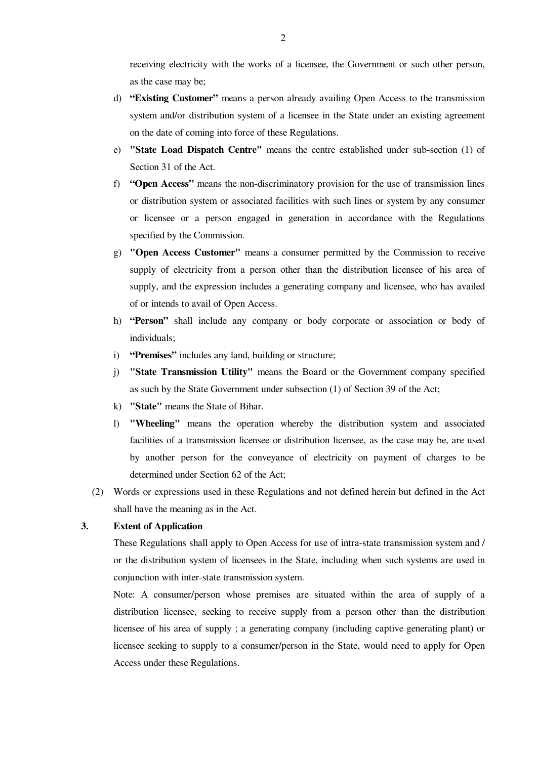receiving electricity with the works of a licensee, the Government or such other person, as the case may be;

- d) **"Existing Customer"** means a person already availing Open Access to the transmission system and/or distribution system of a licensee in the State under an existing agreement on the date of coming into force of these Regulations.
- e) **"State Load Dispatch Centre"** means the centre established under sub-section (1) of Section 31 of the Act.
- f) **"Open Access"** means the non-discriminatory provision for the use of transmission lines or distribution system or associated facilities with such lines or system by any consumer or licensee or a person engaged in generation in accordance with the Regulations specified by the Commission.
- g) **"Open Access Customer"** means a consumer permitted by the Commission to receive supply of electricity from a person other than the distribution licensee of his area of supply, and the expression includes a generating company and licensee, who has availed of or intends to avail of Open Access.
- h) **"Person"** shall include any company or body corporate or association or body of individuals;
- i) **"Premises"** includes any land, building or structure;
- j) **"State Transmission Utility"** means the Board or the Government company specified as such by the State Government under subsection (1) of Section 39 of the Act;
- k) **"State"** means the State of Bihar.
- l) **"Wheeling"** means the operation whereby the distribution system and associated facilities of a transmission licensee or distribution licensee, as the case may be, are used by another person for the conveyance of electricity on payment of charges to be determined under Section 62 of the Act;
- (2) Words or expressions used in these Regulations and not defined herein but defined in the Act shall have the meaning as in the Act.

#### **3. Extent of Application**

These Regulations shall apply to Open Access for use of intra-state transmission system and / or the distribution system of licensees in the State, including when such systems are used in conjunction with inter-state transmission system.

Note: A consumer/person whose premises are situated within the area of supply of a distribution licensee, seeking to receive supply from a person other than the distribution licensee of his area of supply ; a generating company (including captive generating plant) or licensee seeking to supply to a consumer/person in the State, would need to apply for Open Access under these Regulations.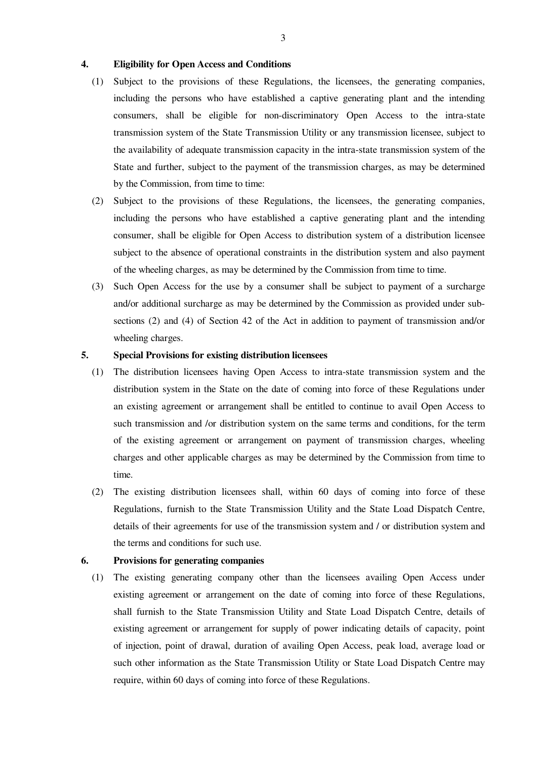#### **4. Eligibility for Open Access and Conditions**

- (1) Subject to the provisions of these Regulations, the licensees, the generating companies, including the persons who have established a captive generating plant and the intending consumers, shall be eligible for non-discriminatory Open Access to the intra-state transmission system of the State Transmission Utility or any transmission licensee, subject to the availability of adequate transmission capacity in the intra-state transmission system of the State and further, subject to the payment of the transmission charges, as may be determined by the Commission, from time to time:
- (2) Subject to the provisions of these Regulations, the licensees, the generating companies, including the persons who have established a captive generating plant and the intending consumer, shall be eligible for Open Access to distribution system of a distribution licensee subject to the absence of operational constraints in the distribution system and also payment of the wheeling charges, as may be determined by the Commission from time to time.
- (3) Such Open Access for the use by a consumer shall be subject to payment of a surcharge and/or additional surcharge as may be determined by the Commission as provided under subsections (2) and (4) of Section 42 of the Act in addition to payment of transmission and/or wheeling charges.

#### **5. Special Provisions for existing distribution licensees**

- (1) The distribution licensees having Open Access to intra-state transmission system and the distribution system in the State on the date of coming into force of these Regulations under an existing agreement or arrangement shall be entitled to continue to avail Open Access to such transmission and /or distribution system on the same terms and conditions, for the term of the existing agreement or arrangement on payment of transmission charges, wheeling charges and other applicable charges as may be determined by the Commission from time to time.
- (2) The existing distribution licensees shall, within 60 days of coming into force of these Regulations, furnish to the State Transmission Utility and the State Load Dispatch Centre, details of their agreements for use of the transmission system and / or distribution system and the terms and conditions for such use.

#### **6. Provisions for generating companies**

 (1) The existing generating company other than the licensees availing Open Access under existing agreement or arrangement on the date of coming into force of these Regulations, shall furnish to the State Transmission Utility and State Load Dispatch Centre, details of existing agreement or arrangement for supply of power indicating details of capacity, point of injection, point of drawal, duration of availing Open Access, peak load, average load or such other information as the State Transmission Utility or State Load Dispatch Centre may require, within 60 days of coming into force of these Regulations.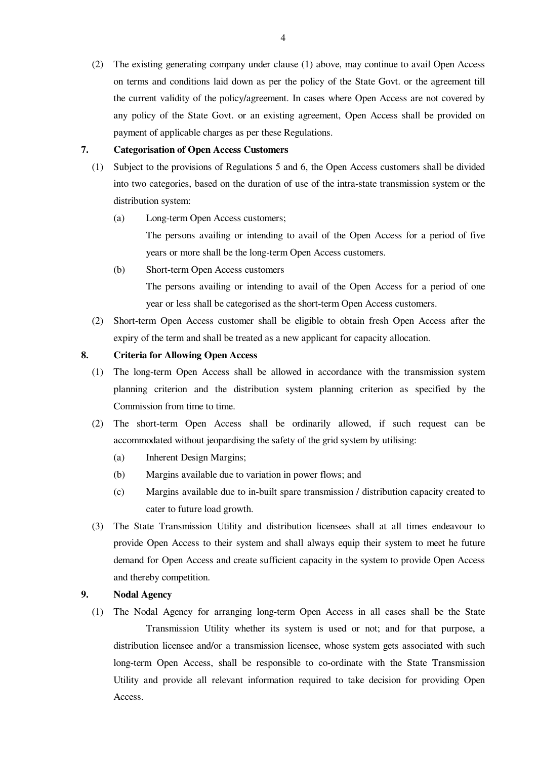(2) The existing generating company under clause (1) above, may continue to avail Open Access on terms and conditions laid down as per the policy of the State Govt. or the agreement till the current validity of the policy/agreement. In cases where Open Access are not covered by any policy of the State Govt. or an existing agreement, Open Access shall be provided on payment of applicable charges as per these Regulations.

#### **7. Categorisation of Open Access Customers**

- (1) Subject to the provisions of Regulations 5 and 6, the Open Access customers shall be divided into two categories, based on the duration of use of the intra-state transmission system or the distribution system:
	- (a) Long-term Open Access customers;
		- The persons availing or intending to avail of the Open Access for a period of five years or more shall be the long-term Open Access customers.
	- (b) Short-term Open Access customers

 The persons availing or intending to avail of the Open Access for a period of one year or less shall be categorised as the short-term Open Access customers.

 (2) Short-term Open Access customer shall be eligible to obtain fresh Open Access after the expiry of the term and shall be treated as a new applicant for capacity allocation.

#### **8. Criteria for Allowing Open Access**

- (1) The long-term Open Access shall be allowed in accordance with the transmission system planning criterion and the distribution system planning criterion as specified by the Commission from time to time.
- (2) The short-term Open Access shall be ordinarily allowed, if such request can be accommodated without jeopardising the safety of the grid system by utilising:
	- (a) Inherent Design Margins;
	- (b) Margins available due to variation in power flows; and
	- (c) Margins available due to in-built spare transmission / distribution capacity created to cater to future load growth.
- (3) The State Transmission Utility and distribution licensees shall at all times endeavour to provide Open Access to their system and shall always equip their system to meet he future demand for Open Access and create sufficient capacity in the system to provide Open Access and thereby competition.

#### **9. Nodal Agency**

 (1) The Nodal Agency for arranging long-term Open Access in all cases shall be the State Transmission Utility whether its system is used or not; and for that purpose, a distribution licensee and/or a transmission licensee, whose system gets associated with such long-term Open Access, shall be responsible to co-ordinate with the State Transmission Utility and provide all relevant information required to take decision for providing Open Access.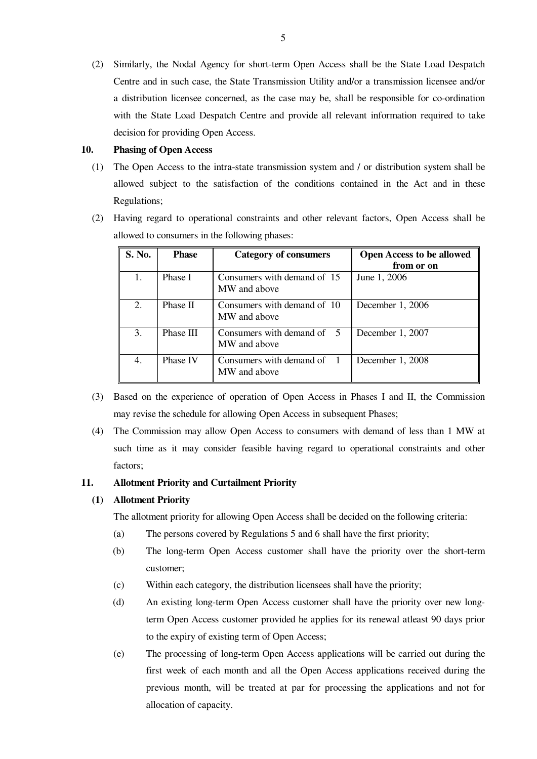(2) Similarly, the Nodal Agency for short-term Open Access shall be the State Load Despatch Centre and in such case, the State Transmission Utility and/or a transmission licensee and/or a distribution licensee concerned, as the case may be, shall be responsible for co-ordination with the State Load Despatch Centre and provide all relevant information required to take decision for providing Open Access.

#### **10. Phasing of Open Access**

- (1) The Open Access to the intra-state transmission system and / or distribution system shall be allowed subject to the satisfaction of the conditions contained in the Act and in these Regulations;
- (2) Having regard to operational constraints and other relevant factors, Open Access shall be allowed to consumers in the following phases:

| S. No. | <b>Phase</b> | Category of consumers                                   | <b>Open Access to be allowed</b><br>from or on |
|--------|--------------|---------------------------------------------------------|------------------------------------------------|
|        | Phase I      | Consumers with demand of 15<br>MW and above             | June 1, 2006                                   |
| 2.     | Phase II     | Consumers with demand of 10<br>MW and above             | December 1, 2006                               |
| 3.     | Phase III    | Consumers with demand of $\overline{5}$<br>MW and above | December 1, $2007$                             |
| 4.     | Phase IV     | Consumers with demand of 1<br>MW and above              | December 1, 2008                               |

- (3) Based on the experience of operation of Open Access in Phases I and II, the Commission may revise the schedule for allowing Open Access in subsequent Phases;
- (4) The Commission may allow Open Access to consumers with demand of less than 1 MW at such time as it may consider feasible having regard to operational constraints and other factors;

#### **11. Allotment Priority and Curtailment Priority**

#### **(1) Allotment Priority**

The allotment priority for allowing Open Access shall be decided on the following criteria:

- (a) The persons covered by Regulations 5 and 6 shall have the first priority;
- (b) The long-term Open Access customer shall have the priority over the short-term customer;
- (c) Within each category, the distribution licensees shall have the priority;
- (d) An existing long-term Open Access customer shall have the priority over new longterm Open Access customer provided he applies for its renewal atleast 90 days prior to the expiry of existing term of Open Access;
- (e) The processing of long-term Open Access applications will be carried out during the first week of each month and all the Open Access applications received during the previous month, will be treated at par for processing the applications and not for allocation of capacity.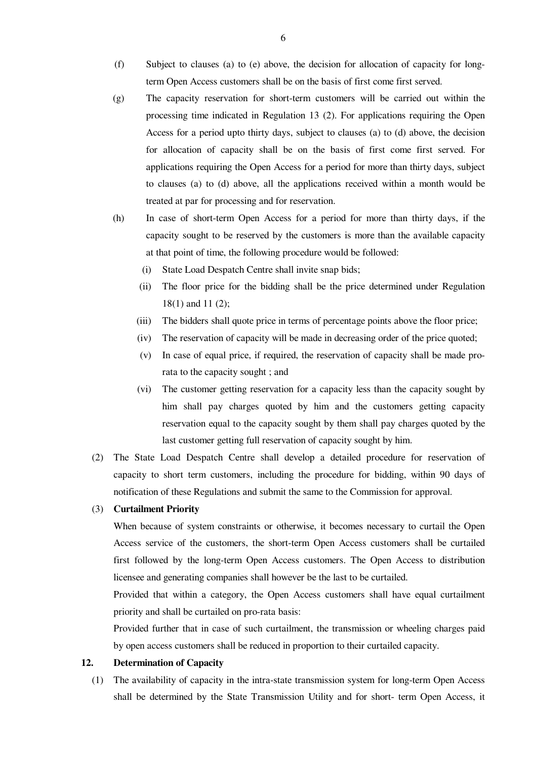- (f) Subject to clauses (a) to (e) above, the decision for allocation of capacity for longterm Open Access customers shall be on the basis of first come first served.
- (g) The capacity reservation for short-term customers will be carried out within the processing time indicated in Regulation 13 (2). For applications requiring the Open Access for a period upto thirty days, subject to clauses (a) to (d) above, the decision for allocation of capacity shall be on the basis of first come first served. For applications requiring the Open Access for a period for more than thirty days, subject to clauses (a) to (d) above, all the applications received within a month would be treated at par for processing and for reservation.
- (h) In case of short-term Open Access for a period for more than thirty days, if the capacity sought to be reserved by the customers is more than the available capacity at that point of time, the following procedure would be followed:
	- (i) State Load Despatch Centre shall invite snap bids;
	- (ii) The floor price for the bidding shall be the price determined under Regulation 18(1) and 11 (2);
	- (iii) The bidders shall quote price in terms of percentage points above the floor price;
	- (iv) The reservation of capacity will be made in decreasing order of the price quoted;
	- (v) In case of equal price, if required, the reservation of capacity shall be made prorata to the capacity sought ; and
	- (vi) The customer getting reservation for a capacity less than the capacity sought by him shall pay charges quoted by him and the customers getting capacity reservation equal to the capacity sought by them shall pay charges quoted by the last customer getting full reservation of capacity sought by him.
- (2) The State Load Despatch Centre shall develop a detailed procedure for reservation of capacity to short term customers, including the procedure for bidding, within 90 days of notification of these Regulations and submit the same to the Commission for approval.

#### (3) **Curtailment Priority**

 When because of system constraints or otherwise, it becomes necessary to curtail the Open Access service of the customers, the short-term Open Access customers shall be curtailed first followed by the long-term Open Access customers. The Open Access to distribution licensee and generating companies shall however be the last to be curtailed.

Provided that within a category, the Open Access customers shall have equal curtailment priority and shall be curtailed on pro-rata basis:

Provided further that in case of such curtailment, the transmission or wheeling charges paid by open access customers shall be reduced in proportion to their curtailed capacity.

#### **12. Determination of Capacity**

(1) The availability of capacity in the intra-state transmission system for long-term Open Access shall be determined by the State Transmission Utility and for short- term Open Access, it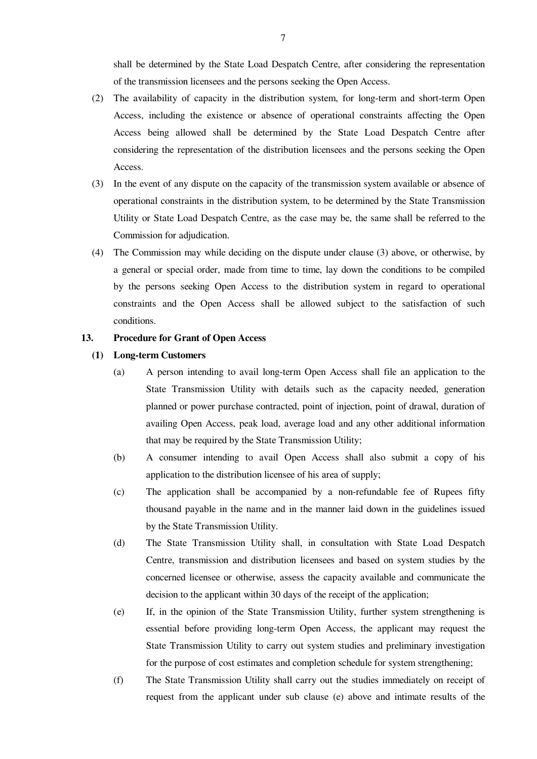shall be determined by the State Load Despatch Centre, after considering the representation of the transmission licensees and the persons seeking the Open Access.

- (2) The availability of capacity in the distribution system, for long-term and short-term Open Access, including the existence or absence of operational constraints affecting the Open Access being allowed shall be determined by the State Load Despatch Centre after considering the representation of the distribution licensees and the persons seeking the Open Access.
- (3) In the event of any dispute on the capacity of the transmission system available or absence of operational constraints in the distribution system, to be determined by the State Transmission Utility or State Load Despatch Centre, as the case may be, the same shall be referred to the Commission for adjudication.
- (4) The Commission may while deciding on the dispute under clause (3) above, or otherwise, by a general or special order, made from time to time, lay down the conditions to be compiled by the persons seeking Open Access to the distribution system in regard to operational constraints and the Open Access shall be allowed subject to the satisfaction of such conditions.

#### **13. Procedure for Grant of Open Access**

- **(1) Long-term Customers** 
	- (a) A person intending to avail long-term Open Access shall file an application to the State Transmission Utility with details such as the capacity needed, generation planned or power purchase contracted, point of injection, point of drawal, duration of availing Open Access, peak load, average load and any other additional information that may be required by the State Transmission Utility;
	- (b) A consumer intending to avail Open Access shall also submit a copy of his application to the distribution licensee of his area of supply;
	- (c) The application shall be accompanied by a non-refundable fee of Rupees fifty thousand payable in the name and in the manner laid down in the guidelines issued by the State Transmission Utility.
	- (d) The State Transmission Utility shall, in consultation with State Load Despatch Centre, transmission and distribution licensees and based on system studies by the concerned licensee or otherwise, assess the capacity available and communicate the decision to the applicant within 30 days of the receipt of the application;
	- (e) If, in the opinion of the State Transmission Utility, further system strengthening is essential before providing long-term Open Access, the applicant may request the State Transmission Utility to carry out system studies and preliminary investigation for the purpose of cost estimates and completion schedule for system strengthening;
	- (f) The State Transmission Utility shall carry out the studies immediately on receipt of request from the applicant under sub clause (e) above and intimate results of the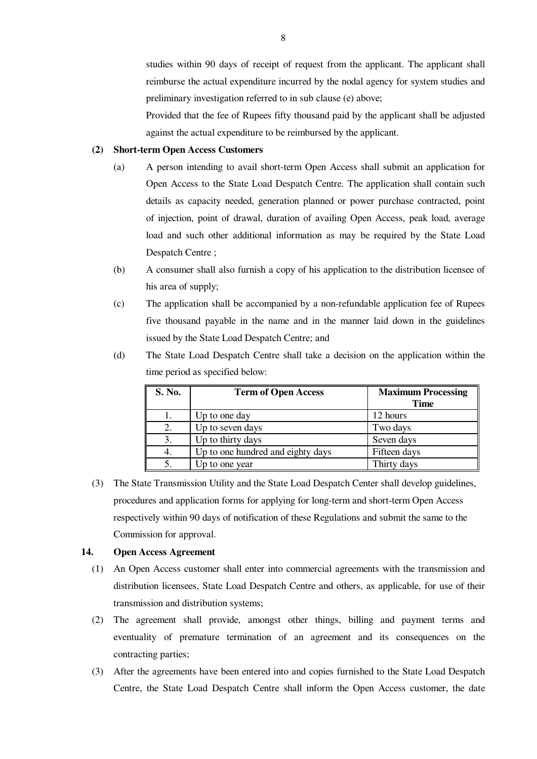studies within 90 days of receipt of request from the applicant. The applicant shall reimburse the actual expenditure incurred by the nodal agency for system studies and preliminary investigation referred to in sub clause (e) above;

Provided that the fee of Rupees fifty thousand paid by the applicant shall be adjusted against the actual expenditure to be reimbursed by the applicant.

#### **(2) Short-term Open Access Customers**

- (a) A person intending to avail short-term Open Access shall submit an application for Open Access to the State Load Despatch Centre. The application shall contain such details as capacity needed, generation planned or power purchase contracted, point of injection, point of drawal, duration of availing Open Access, peak load, average load and such other additional information as may be required by the State Load Despatch Centre ;
- (b) A consumer shall also furnish a copy of his application to the distribution licensee of his area of supply;
- (c) The application shall be accompanied by a non-refundable application fee of Rupees five thousand payable in the name and in the manner laid down in the guidelines issued by the State Load Despatch Centre; and
- (d) The State Load Despatch Centre shall take a decision on the application within the time period as specified below:

| S. No. | <b>Term of Open Access</b>        | <b>Maximum Processing</b> |
|--------|-----------------------------------|---------------------------|
|        |                                   | <b>Time</b>               |
|        | Up to one day                     | 12 hours                  |
|        | Up to seven days                  | Two days                  |
|        | Up to thirty days                 | Seven days                |
|        | Up to one hundred and eighty days | Fifteen days              |
|        | Up to one year                    | Thirty days               |

 (3) The State Transmission Utility and the State Load Despatch Center shall develop guidelines, procedures and application forms for applying for long-term and short-term Open Access respectively within 90 days of notification of these Regulations and submit the same to the Commission for approval.

#### **14. Open Access Agreement**

- (1) An Open Access customer shall enter into commercial agreements with the transmission and distribution licensees, State Load Despatch Centre and others, as applicable, for use of their transmission and distribution systems;
- (2) The agreement shall provide, amongst other things, billing and payment terms and eventuality of premature termination of an agreement and its consequences on the contracting parties;
- (3) After the agreements have been entered into and copies furnished to the State Load Despatch Centre, the State Load Despatch Centre shall inform the Open Access customer, the date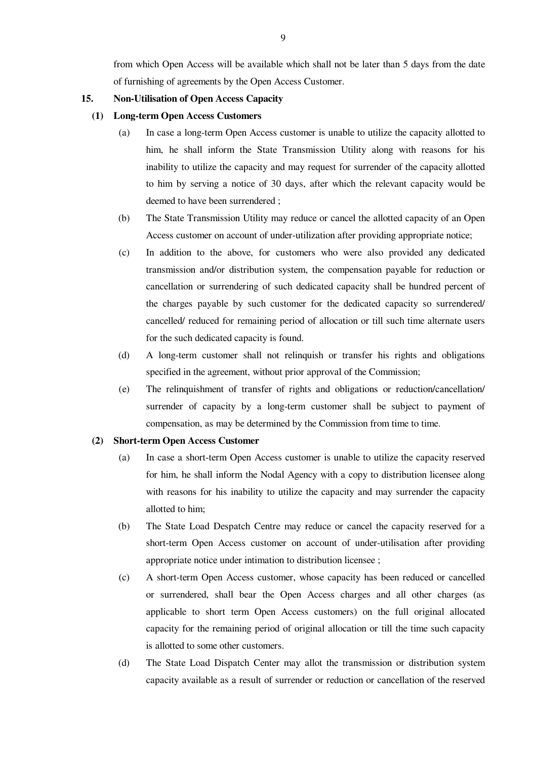from which Open Access will be available which shall not be later than 5 days from the date of furnishing of agreements by the Open Access Customer.

#### **15. Non-Utilisation of Open Access Capacity**

#### **(1) Long-term Open Access Customers**

- (a) In case a long-term Open Access customer is unable to utilize the capacity allotted to him, he shall inform the State Transmission Utility along with reasons for his inability to utilize the capacity and may request for surrender of the capacity allotted to him by serving a notice of 30 days, after which the relevant capacity would be deemed to have been surrendered ;
- (b) The State Transmission Utility may reduce or cancel the allotted capacity of an Open Access customer on account of under-utilization after providing appropriate notice;
- (c) In addition to the above, for customers who were also provided any dedicated transmission and/or distribution system, the compensation payable for reduction or cancellation or surrendering of such dedicated capacity shall be hundred percent of the charges payable by such customer for the dedicated capacity so surrendered/ cancelled/ reduced for remaining period of allocation or till such time alternate users for the such dedicated capacity is found.
- (d) A long-term customer shall not relinquish or transfer his rights and obligations specified in the agreement, without prior approval of the Commission;
- (e) The relinquishment of transfer of rights and obligations or reduction/cancellation/ surrender of capacity by a long-term customer shall be subject to payment of compensation, as may be determined by the Commission from time to time.

#### **(2) Short-term Open Access Customer**

- (a) In case a short-term Open Access customer is unable to utilize the capacity reserved for him, he shall inform the Nodal Agency with a copy to distribution licensee along with reasons for his inability to utilize the capacity and may surrender the capacity allotted to him;
- (b) The State Load Despatch Centre may reduce or cancel the capacity reserved for a short-term Open Access customer on account of under-utilisation after providing appropriate notice under intimation to distribution licensee ;
- (c) A short-term Open Access customer, whose capacity has been reduced or cancelled or surrendered, shall bear the Open Access charges and all other charges (as applicable to short term Open Access customers) on the full original allocated capacity for the remaining period of original allocation or till the time such capacity is allotted to some other customers.
- (d) The State Load Dispatch Center may allot the transmission or distribution system capacity available as a result of surrender or reduction or cancellation of the reserved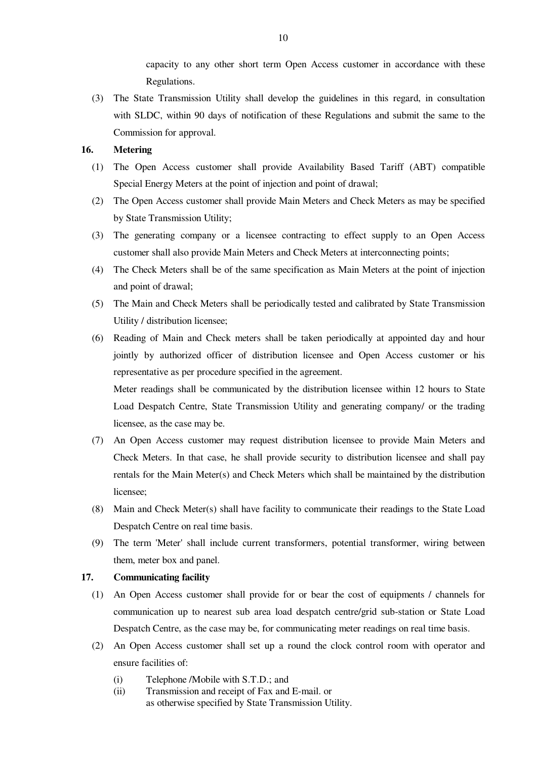capacity to any other short term Open Access customer in accordance with these Regulations.

 (3) The State Transmission Utility shall develop the guidelines in this regard, in consultation with SLDC, within 90 days of notification of these Regulations and submit the same to the Commission for approval.

#### **16. Metering**

- (1) The Open Access customer shall provide Availability Based Tariff (ABT) compatible Special Energy Meters at the point of injection and point of drawal;
- (2) The Open Access customer shall provide Main Meters and Check Meters as may be specified by State Transmission Utility;
- (3) The generating company or a licensee contracting to effect supply to an Open Access customer shall also provide Main Meters and Check Meters at interconnecting points;
- (4) The Check Meters shall be of the same specification as Main Meters at the point of injection and point of drawal;
- (5) The Main and Check Meters shall be periodically tested and calibrated by State Transmission Utility / distribution licensee;
- (6) Reading of Main and Check meters shall be taken periodically at appointed day and hour jointly by authorized officer of distribution licensee and Open Access customer or his representative as per procedure specified in the agreement.

Meter readings shall be communicated by the distribution licensee within 12 hours to State Load Despatch Centre, State Transmission Utility and generating company/ or the trading licensee, as the case may be.

- (7) An Open Access customer may request distribution licensee to provide Main Meters and Check Meters. In that case, he shall provide security to distribution licensee and shall pay rentals for the Main Meter(s) and Check Meters which shall be maintained by the distribution licensee;
- (8) Main and Check Meter(s) shall have facility to communicate their readings to the State Load Despatch Centre on real time basis.
- (9) The term 'Meter' shall include current transformers, potential transformer, wiring between them, meter box and panel.

#### **17. Communicating facility**

- (1) An Open Access customer shall provide for or bear the cost of equipments / channels for communication up to nearest sub area load despatch centre/grid sub-station or State Load Despatch Centre, as the case may be, for communicating meter readings on real time basis.
- (2) An Open Access customer shall set up a round the clock control room with operator and ensure facilities of:
	- (i) Telephone /Mobile with S.T.D.; and
	- (ii) Transmission and receipt of Fax and E-mail. or as otherwise specified by State Transmission Utility.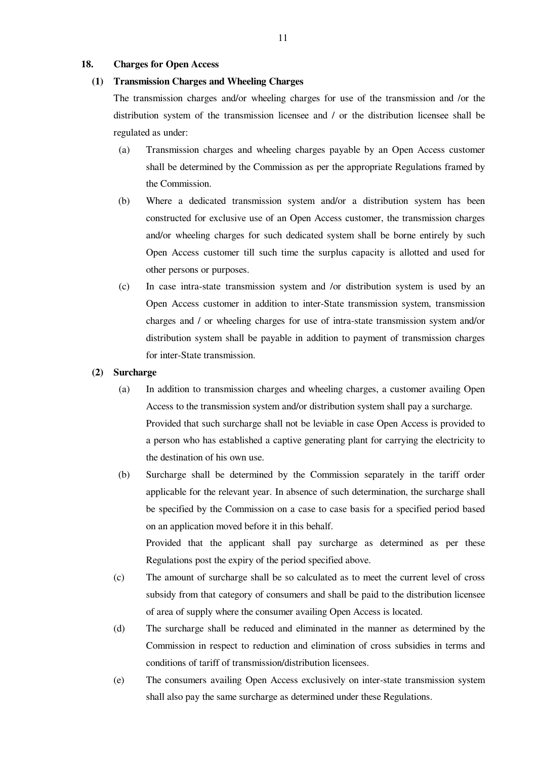#### **18. Charges for Open Access**

#### **(1) Transmission Charges and Wheeling Charges**

The transmission charges and/or wheeling charges for use of the transmission and /or the distribution system of the transmission licensee and / or the distribution licensee shall be regulated as under:

- (a) Transmission charges and wheeling charges payable by an Open Access customer shall be determined by the Commission as per the appropriate Regulations framed by the Commission.
- (b) Where a dedicated transmission system and/or a distribution system has been constructed for exclusive use of an Open Access customer, the transmission charges and/or wheeling charges for such dedicated system shall be borne entirely by such Open Access customer till such time the surplus capacity is allotted and used for other persons or purposes.
- (c) In case intra-state transmission system and /or distribution system is used by an Open Access customer in addition to inter-State transmission system, transmission charges and / or wheeling charges for use of intra-state transmission system and/or distribution system shall be payable in addition to payment of transmission charges for inter-State transmission.

#### **(2) Surcharge**

- (a) In addition to transmission charges and wheeling charges, a customer availing Open Access to the transmission system and/or distribution system shall pay a surcharge. Provided that such surcharge shall not be leviable in case Open Access is provided to a person who has established a captive generating plant for carrying the electricity to the destination of his own use.
- (b) Surcharge shall be determined by the Commission separately in the tariff order applicable for the relevant year. In absence of such determination, the surcharge shall be specified by the Commission on a case to case basis for a specified period based on an application moved before it in this behalf.

Provided that the applicant shall pay surcharge as determined as per these Regulations post the expiry of the period specified above.

- (c) The amount of surcharge shall be so calculated as to meet the current level of cross subsidy from that category of consumers and shall be paid to the distribution licensee of area of supply where the consumer availing Open Access is located.
- (d) The surcharge shall be reduced and eliminated in the manner as determined by the Commission in respect to reduction and elimination of cross subsidies in terms and conditions of tariff of transmission/distribution licensees.
- (e) The consumers availing Open Access exclusively on inter-state transmission system shall also pay the same surcharge as determined under these Regulations.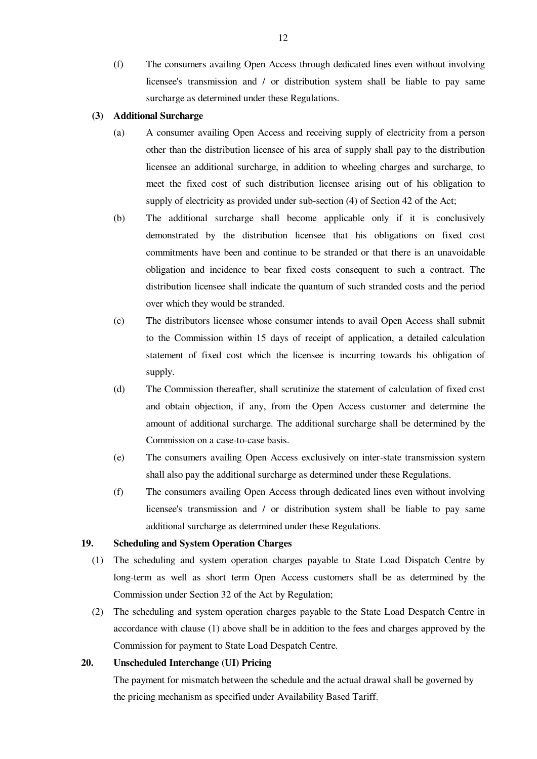(f) The consumers availing Open Access through dedicated lines even without involving licensee's transmission and / or distribution system shall be liable to pay same surcharge as determined under these Regulations.

#### **(3) Additional Surcharge**

- (a) A consumer availing Open Access and receiving supply of electricity from a person other than the distribution licensee of his area of supply shall pay to the distribution licensee an additional surcharge, in addition to wheeling charges and surcharge, to meet the fixed cost of such distribution licensee arising out of his obligation to supply of electricity as provided under sub-section (4) of Section 42 of the Act;
- (b) The additional surcharge shall become applicable only if it is conclusively demonstrated by the distribution licensee that his obligations on fixed cost commitments have been and continue to be stranded or that there is an unavoidable obligation and incidence to bear fixed costs consequent to such a contract. The distribution licensee shall indicate the quantum of such stranded costs and the period over which they would be stranded.
- (c) The distributors licensee whose consumer intends to avail Open Access shall submit to the Commission within 15 days of receipt of application, a detailed calculation statement of fixed cost which the licensee is incurring towards his obligation of supply.
- (d) The Commission thereafter, shall scrutinize the statement of calculation of fixed cost and obtain objection, if any, from the Open Access customer and determine the amount of additional surcharge. The additional surcharge shall be determined by the Commission on a case-to-case basis.
- (e) The consumers availing Open Access exclusively on inter-state transmission system shall also pay the additional surcharge as determined under these Regulations.
- (f) The consumers availing Open Access through dedicated lines even without involving licensee's transmission and / or distribution system shall be liable to pay same additional surcharge as determined under these Regulations.

#### **19. Scheduling and System Operation Charges**

- (1) The scheduling and system operation charges payable to State Load Dispatch Centre by long-term as well as short term Open Access customers shall be as determined by the Commission under Section 32 of the Act by Regulation;
- (2) The scheduling and system operation charges payable to the State Load Despatch Centre in accordance with clause (1) above shall be in addition to the fees and charges approved by the Commission for payment to State Load Despatch Centre.

#### **20. Unscheduled Interchange (UI) Pricing**

The payment for mismatch between the schedule and the actual drawal shall be governed by the pricing mechanism as specified under Availability Based Tariff.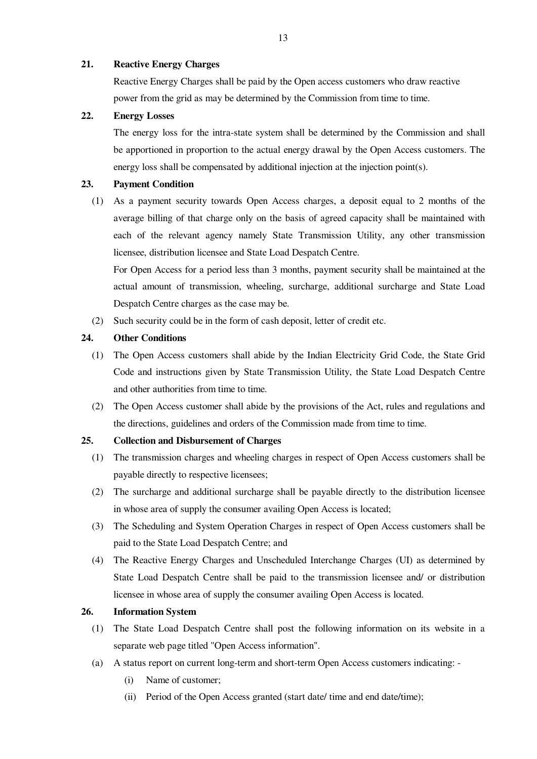#### **21. Reactive Energy Charges**

Reactive Energy Charges shall be paid by the Open access customers who draw reactive power from the grid as may be determined by the Commission from time to time.

#### **22. Energy Losses**

The energy loss for the intra-state system shall be determined by the Commission and shall be apportioned in proportion to the actual energy drawal by the Open Access customers. The energy loss shall be compensated by additional injection at the injection point(s).

#### **23. Payment Condition**

 (1) As a payment security towards Open Access charges, a deposit equal to 2 months of the average billing of that charge only on the basis of agreed capacity shall be maintained with each of the relevant agency namely State Transmission Utility, any other transmission licensee, distribution licensee and State Load Despatch Centre.

For Open Access for a period less than 3 months, payment security shall be maintained at the actual amount of transmission, wheeling, surcharge, additional surcharge and State Load Despatch Centre charges as the case may be.

(2) Such security could be in the form of cash deposit, letter of credit etc.

#### **24. Other Conditions**

- (1) The Open Access customers shall abide by the Indian Electricity Grid Code, the State Grid Code and instructions given by State Transmission Utility, the State Load Despatch Centre and other authorities from time to time.
- (2) The Open Access customer shall abide by the provisions of the Act, rules and regulations and the directions, guidelines and orders of the Commission made from time to time.

#### **25. Collection and Disbursement of Charges**

- (1) The transmission charges and wheeling charges in respect of Open Access customers shall be payable directly to respective licensees;
- (2) The surcharge and additional surcharge shall be payable directly to the distribution licensee in whose area of supply the consumer availing Open Access is located;
- (3) The Scheduling and System Operation Charges in respect of Open Access customers shall be paid to the State Load Despatch Centre; and
- (4) The Reactive Energy Charges and Unscheduled Interchange Charges (UI) as determined by State Load Despatch Centre shall be paid to the transmission licensee and/ or distribution licensee in whose area of supply the consumer availing Open Access is located.

#### **26. Information System**

- (1) The State Load Despatch Centre shall post the following information on its website in a separate web page titled "Open Access information".
- (a) A status report on current long-term and short-term Open Access customers indicating:
	- (i) Name of customer;
	- (ii) Period of the Open Access granted (start date/ time and end date/time);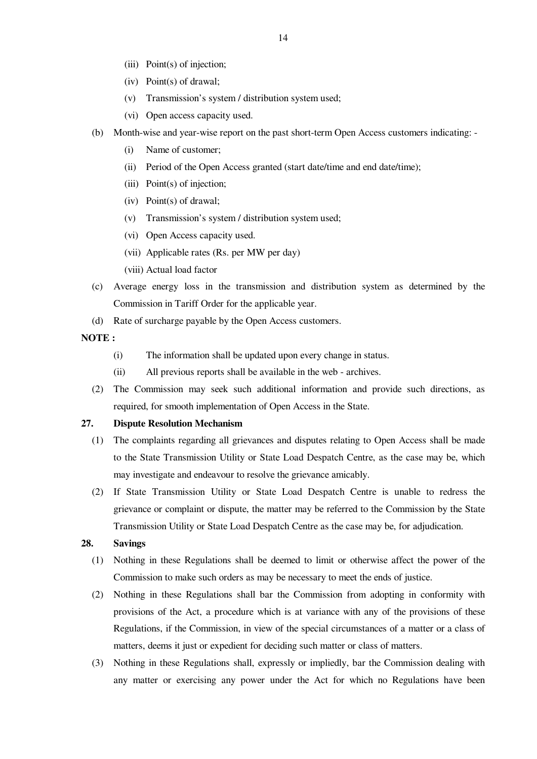- (iii) Point(s) of injection;
- (iv) Point(s) of drawal;
- (v) Transmission's system / distribution system used;
- (vi) Open access capacity used.
- (b) Month-wise and year-wise report on the past short-term Open Access customers indicating:
	- (i) Name of customer;
	- (ii) Period of the Open Access granted (start date/time and end date/time);
	- (iii) Point(s) of injection;
	- (iv) Point(s) of drawal;
	- (v) Transmission's system / distribution system used;
	- (vi) Open Access capacity used.
	- (vii) Applicable rates (Rs. per MW per day)
	- (viii) Actual load factor
- (c) Average energy loss in the transmission and distribution system as determined by the Commission in Tariff Order for the applicable year.
- (d) Rate of surcharge payable by the Open Access customers.

#### **NOTE :**

- (i) The information shall be updated upon every change in status.
- (ii) All previous reports shall be available in the web archives.
- (2) The Commission may seek such additional information and provide such directions, as required, for smooth implementation of Open Access in the State.

#### **27. Dispute Resolution Mechanism**

- (1) The complaints regarding all grievances and disputes relating to Open Access shall be made to the State Transmission Utility or State Load Despatch Centre, as the case may be, which may investigate and endeavour to resolve the grievance amicably.
- (2) If State Transmission Utility or State Load Despatch Centre is unable to redress the grievance or complaint or dispute, the matter may be referred to the Commission by the State Transmission Utility or State Load Despatch Centre as the case may be, for adjudication.

#### **28. Savings**

- (1) Nothing in these Regulations shall be deemed to limit or otherwise affect the power of the Commission to make such orders as may be necessary to meet the ends of justice.
- (2) Nothing in these Regulations shall bar the Commission from adopting in conformity with provisions of the Act, a procedure which is at variance with any of the provisions of these Regulations, if the Commission, in view of the special circumstances of a matter or a class of matters, deems it just or expedient for deciding such matter or class of matters.
- (3) Nothing in these Regulations shall, expressly or impliedly, bar the Commission dealing with any matter or exercising any power under the Act for which no Regulations have been